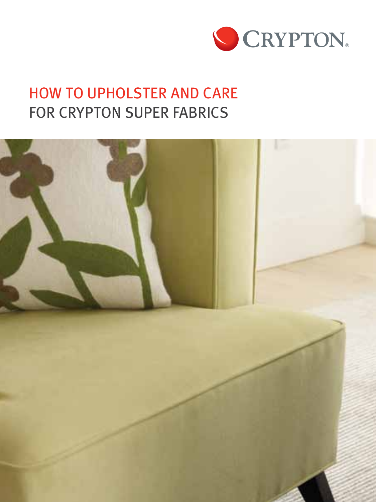

# HOW TO UPHOLSTER AND CARE FOR CRYPTON SUPER FABRICS

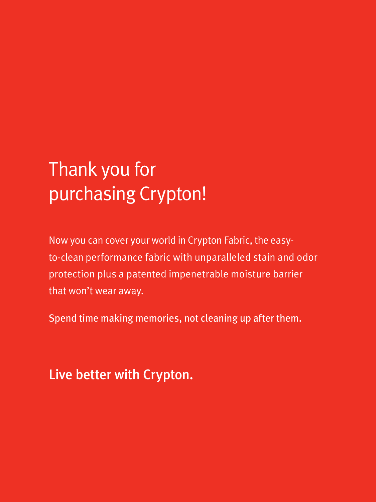# Thank you for purchasing Crypton!

Now you can cover your world in Crypton Fabric, the easyto-clean performance fabric with unparalleled stain and odor protection plus a patented impenetrable moisture barrier that won't wear away.

Spend time making memories, not cleaning up after them.

### Live better with Crypton.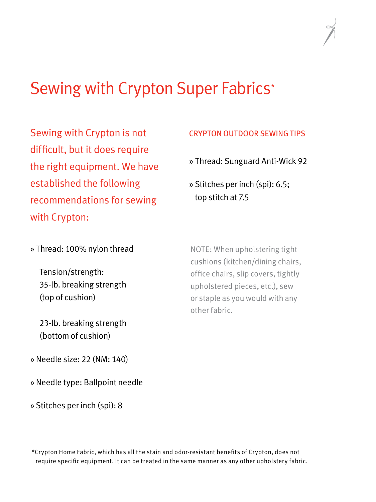# Sewing with Crypton Super Fabrics\*

Sewing with Crypton is not difficult, but it does require the right equipment. We have established the following recommendations for sewing with Crypton:

### CRYPTON OUTDOOR SEWING TIPS

» Thread: Sunguard Anti-Wick 92

» Stitches per inch (spi): 6.5; top stitch at 7.5

» Thread: 100% nylon thread

 Tension/strength: 35-lb. breaking strength (top of cushion)

 23-lb. breaking strength (bottom of cushion)

NOTE: When upholstering tight cushions (kitchen/dining chairs, office chairs, slip covers, tightly upholstered pieces, etc.), sew or staple as you would with any other fabric.

» Needle size: 22 (NM: 140)

» Needle type: Ballpoint needle

» Stitches per inch (spi): 8

\*Crypton Home Fabric, which has all the stain and odor-resistant benefits of Crypton, does not require specific equipment. It can be treated in the same manner as any other upholstery fabric.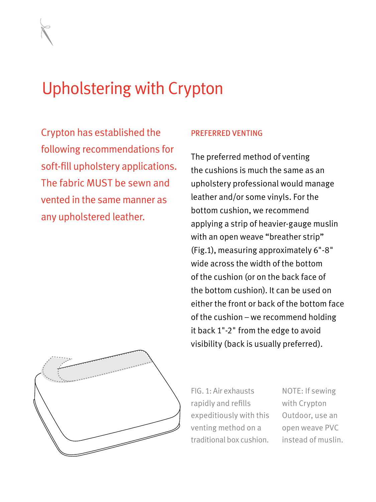# Upholstering with Crypton

Crypton has established the following recommendations for soft-fill upholstery applications. The fabric MUST be sewn and vented in the same manner as any upholstered leather.

#### PREFERRED VENTING

The preferred method of venting the cushions is much the same as an upholstery professional would manage leather and/or some vinyls. For the bottom cushion, we recommend applying a strip of heavier-gauge muslin with an open weave "breather strip" (Fig.1), measuring approximately 6"-8" wide across the width of the bottom of the cushion (or on the back face of the bottom cushion). It can be used on either the front or back of the bottom face of the cushion – we recommend holding it back 1"-2" from the edge to avoid visibility (back is usually preferred).



FIG. 1: Air exhausts rapidly and refills expeditiously with this venting method on a traditional box cushion.

NOTE: If sewing with Crypton Outdoor, use an open weave PVC instead of muslin.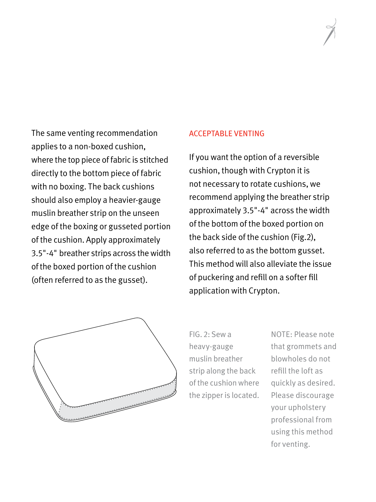The same venting recommendation applies to a non-boxed cushion, where the top piece of fabric is stitched directly to the bottom piece of fabric with no boxing. The back cushions should also employ a heavier-gauge muslin breather strip on the unseen edge of the boxing or gusseted portion of the cushion. Apply approximately 3.5"-4" breather strips across the width of the boxed portion of the cushion (often referred to as the gusset).

#### ACCEPTABLE VENTING

If you want the option of a reversible cushion, though with Crypton it is not necessary to rotate cushions, we recommend applying the breather strip approximately 3.5"-4" across the width of the bottom of the boxed portion on the back side of the cushion (Fig.2), also referred to as the bottom gusset. This method will also alleviate the issue of puckering and refill on a softer fill application with Crypton.



FIG. 2: Sew a heavy-gauge muslin breather strip along the back of the cushion where the zipper is located. NOTE: Please note that grommets and blowholes do not refill the loft as quickly as desired. Please discourage your upholstery professional from using this method for venting.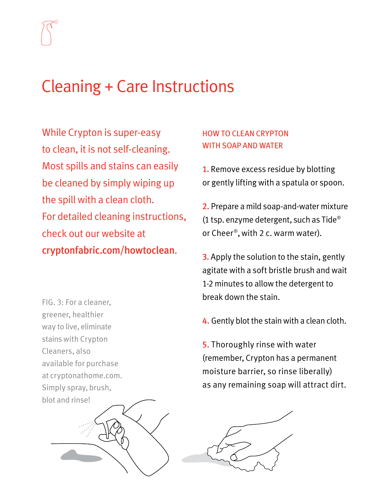

### Cleaning + Care Instructions

While Crypton is super-easy to clean, it is not self-cleaning. Most spills and stains can easily be cleaned by simply wiping up the spill with a clean cloth. For detailed cleaning instructions, check out our website at cryptonfabric.com/howtoclean.

FIG. 3: For a cleaner, greener, healthier way to live, eliminate stains with Crypton Cleaners, also available for purchase at cryptonathome.com. Simply spray, brush, blot and rinse!



### HOW TO CLEAN CRYPTON WITH SOAP AND WATER

1. Remove excess residue by blotting or gently lifting with a spatula or spoon.

2. Prepare a mild soap-and-water mixture (1 tsp. enzyme detergent, such as Tide® or Cheer®, with 2 c. warm water).

**3.** Apply the solution to the stain, gently agitate with a soft bristle brush and wait 1-2 minutes to allow the detergent to break down the stain.

4. Gently blot the stain with a clean cloth.

5. Thoroughly rinse with water (remember, Crypton has a permanent moisture barrier, so rinse liberally) as any remaining soap will attract dirt.

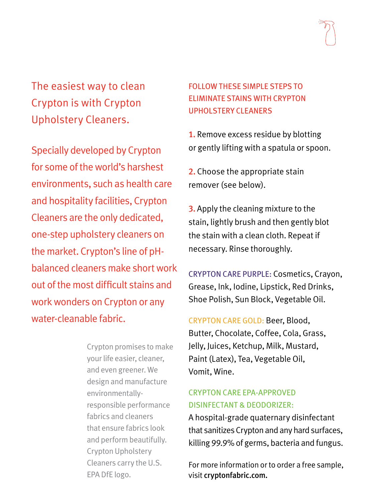The easiest way to clean Crypton is with Crypton Upholstery Cleaners.

Specially developed by Crypton for some of the world's harshest environments, such as health care and hospitality facilities, Crypton Cleaners are the only dedicated, one-step upholstery cleaners on the market. Crypton's line of pHbalanced cleaners make short work out of the most difficult stains and work wonders on Crypton or any water-cleanable fabric.

> Crypton promises to make your life easier, cleaner, and even greener. We design and manufacture environmentallyresponsible performance fabrics and cleaners that ensure fabrics look and perform beautifully. Crypton Upholstery Cleaners carry the U.S. EPA DfE logo.

### FOLLOW THESE SIMPLE STEPS TO ELIMINATE STAINS WITH CRYPTON UPHOLSTERY CLEANERS

1. Remove excess residue by blotting or gently lifting with a spatula or spoon.

2. Choose the appropriate stain remover (see below).

**3.** Apply the cleaning mixture to the stain, lightly brush and then gently blot the stain with a clean cloth. Repeat if necessary. Rinse thoroughly.

CRYPTON CARE PURPLE: Cosmetics, Crayon, Grease, Ink, Iodine, Lipstick, Red Drinks, Shoe Polish, Sun Block, Vegetable Oil.

CRYPTON CARE GOLD: Beer, Blood, Butter, Chocolate, Coffee, Cola, Grass, Jelly, Juices, Ketchup, Milk, Mustard, Paint (Latex), Tea, Vegetable Oil, Vomit, Wine.

### CRYPTON CARE EPA-APPROVED DISINFECTANT & DEODORIZER:

A hospital-grade quaternary disinfectant that sanitizes Crypton and any hard surfaces, killing 99.9% of germs, bacteria and fungus.

For more information or to order a free sample, visit cryptonfabric.com.